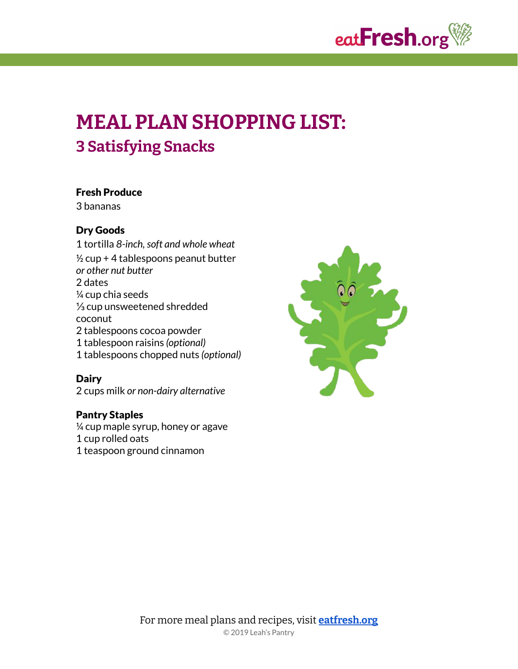

# **MEAL PLAN SHOPPING LIST: 3 Satisfying Snacks**

#### Fresh Produce

3 bananas

#### Dry Goods

1 tortilla *8-inch,soft and whole wheat*  $\frac{1}{2}$  cup + 4 tablespoons peanut butter *or other nut butter* 2 dates ¼ cup chia seeds ⅓ cup unsweetened shredded coconut 2 tablespoons cocoa powder 1 tablespoon raisins *(optional)* 1 tablespoons chopped nuts *(optional)*

#### **Dairy**

2 cups milk *or non-dairy alternative*

### Pantry Staples

 $\frac{1}{4}$  cup maple syrup, honey or agave 1 cup rolled oats 1 teaspoon ground cinnamon

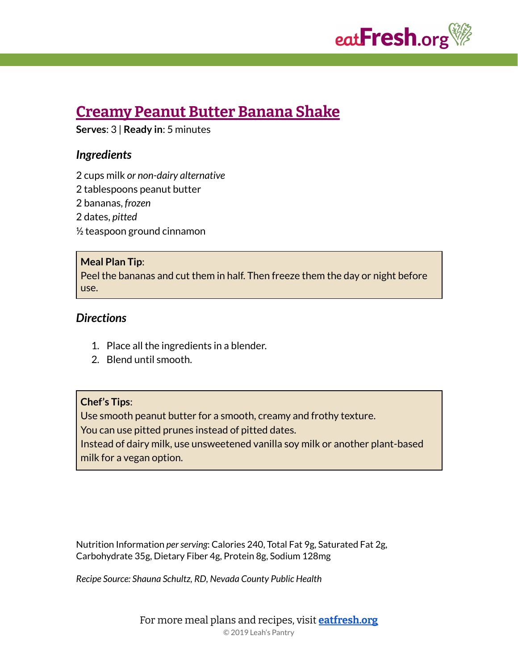

# **[Creamy](https://eatfresh.org/recipe/beverages/creamy-peanut-butter-banana-shake-new) Peanut Butter Banana Shake**

**Serves**: 3 | **Ready in**: 5 minutes

# *Ingredients*

2 cups milk *or non-dairy alternative*

2 tablespoons peanut butter

2 bananas, *frozen*

2 dates, *pitted*

½ teaspoon ground cinnamon

#### **Meal Plan Tip**:

Peel the bananas and cut them in half. Then freeze them the day or night before use.

### *Directions*

- 1. Place all the ingredients in a blender.
- 2. Blend until smooth.

#### **Chef's Tips**:

Use smooth peanut butter for a smooth, creamy and frothy texture. You can use pitted prunes instead of pitted dates.

Instead of dairy milk, use unsweetened vanilla soy milk or another plant-based milk for a vegan option.

Nutrition Information *perserving*: Calories 240, Total Fat 9g, Saturated Fat 2g, Carbohydrate 35g, Dietary Fiber 4g, Protein 8g, Sodium 128mg

*Recipe Source: Shauna Schultz, RD, Nevada County Public Health*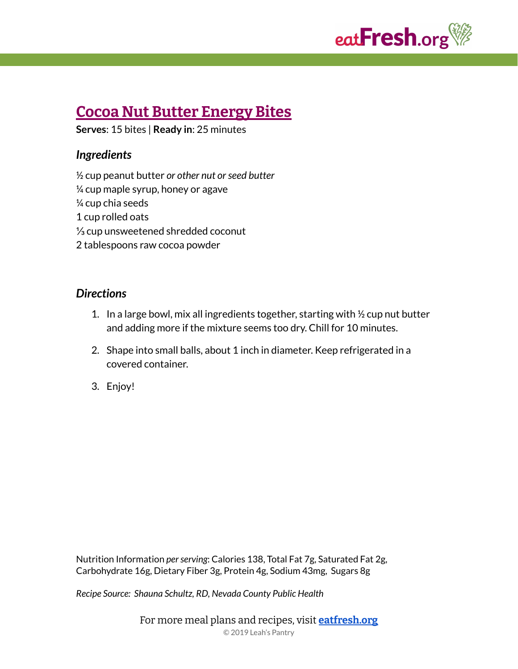

# **Cocoa Nut Butter [Energy](https://eatfresh.org/recipe/desserts-snacks/cocoa-nut-butter-energy-bites-new) Bites**

**Serves**: 15 bites | **Ready in**: 25 minutes

# *Ingredients*

½ cup peanut butter *or other nut orseed butter*  $\frac{1}{4}$  cup maple syrup, honey or agave ¼ cup chia seeds 1 cup rolled oats ⅓ cup unsweetened shredded coconut 2 tablespoons raw cocoa powder

# *Directions*

- 1. In a large bowl, mix all ingredients together, starting with ½ cup nut butter and adding more if the mixture seems too dry. Chill for 10 minutes.
- 2. Shape into small balls, about 1 inch in diameter. Keep refrigerated in a covered container.
- 3. Enjoy!

Nutrition Information *perserving*: Calories 138, Total Fat 7g, Saturated Fat 2g, Carbohydrate 16g, Dietary Fiber 3g, Protein 4g, Sodium 43mg, Sugars 8g

*Recipe Source: Shauna Schultz, RD, Nevada County Public Health*